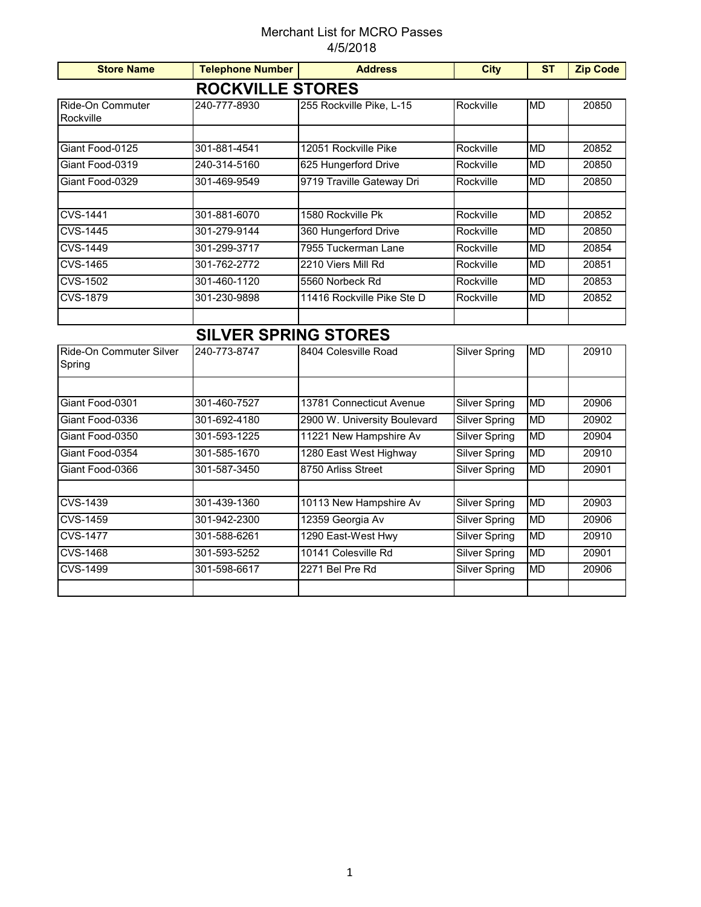## Merchant List for MCRO Passes 4/5/2018

| <b>Store Name</b>                 | <b>Telephone Number</b>     | <b>Address</b>               | <b>City</b>          | <b>ST</b> | <b>Zip Code</b> |  |  |  |  |
|-----------------------------------|-----------------------------|------------------------------|----------------------|-----------|-----------------|--|--|--|--|
| <b>ROCKVILLE STORES</b>           |                             |                              |                      |           |                 |  |  |  |  |
| Ride-On Commuter<br>Rockville     | 240-777-8930                | 255 Rockville Pike, L-15     | Rockville            | <b>MD</b> | 20850           |  |  |  |  |
|                                   |                             |                              |                      |           |                 |  |  |  |  |
| Giant Food-0125                   | 301-881-4541                | 12051 Rockville Pike         | Rockville            | <b>MD</b> | 20852           |  |  |  |  |
| Giant Food-0319                   | 240-314-5160                | 625 Hungerford Drive         | Rockville            | <b>MD</b> | 20850           |  |  |  |  |
| Giant Food-0329                   | 301-469-9549                | 9719 Traville Gateway Dri    | Rockville            | <b>MD</b> | 20850           |  |  |  |  |
| <b>CVS-1441</b>                   | 301-881-6070                | 1580 Rockville Pk            | Rockville            | <b>MD</b> | 20852           |  |  |  |  |
| <b>CVS-1445</b>                   | 301-279-9144                | 360 Hungerford Drive         | Rockville            | <b>MD</b> | 20850           |  |  |  |  |
| <b>CVS-1449</b>                   | 301-299-3717                | 7955 Tuckerman Lane          | Rockville            | <b>MD</b> | 20854           |  |  |  |  |
| <b>CVS-1465</b>                   | 301-762-2772                | 2210 Viers Mill Rd           | Rockville            | <b>MD</b> | 20851           |  |  |  |  |
| <b>CVS-1502</b>                   | 301-460-1120                | 5560 Norbeck Rd              | Rockville            | <b>MD</b> | 20853           |  |  |  |  |
| <b>CVS-1879</b>                   | 301-230-9898                | 11416 Rockville Pike Ste D   | Rockville            | <b>MD</b> | 20852           |  |  |  |  |
|                                   |                             |                              |                      |           |                 |  |  |  |  |
|                                   | <b>SILVER SPRING STORES</b> |                              |                      |           |                 |  |  |  |  |
| Ride-On Commuter Silver<br>Spring | 240-773-8747                | 8404 Colesville Road         | <b>Silver Spring</b> | MD        | 20910           |  |  |  |  |
|                                   |                             |                              |                      |           |                 |  |  |  |  |
| Giant Food-0301                   | 301-460-7527                | 13781 Connecticut Avenue     | <b>Silver Spring</b> | <b>MD</b> | 20906           |  |  |  |  |
| Giant Food-0336                   | 301-692-4180                | 2900 W. University Boulevard | <b>Silver Spring</b> | <b>MD</b> | 20902           |  |  |  |  |
| Giant Food-0350                   | 301-593-1225                | 11221 New Hampshire Av       | <b>Silver Spring</b> | <b>MD</b> | 20904           |  |  |  |  |
| Giant Food-0354                   | 301-585-1670                | 1280 East West Highway       | <b>Silver Spring</b> | <b>MD</b> | 20910           |  |  |  |  |
| Giant Food-0366                   | 301-587-3450                | 8750 Arliss Street           | <b>Silver Spring</b> | <b>MD</b> | 20901           |  |  |  |  |
| <b>CVS-1439</b>                   | 301-439-1360                | 10113 New Hampshire Av       | <b>Silver Spring</b> | <b>MD</b> | 20903           |  |  |  |  |
| <b>CVS-1459</b>                   | 301-942-2300                | 12359 Georgia Av             | Silver Spring        | <b>MD</b> | 20906           |  |  |  |  |
| <b>CVS-1477</b>                   | 301-588-6261                | 1290 East-West Hwy           | <b>Silver Spring</b> | <b>MD</b> | 20910           |  |  |  |  |
| <b>CVS-1468</b>                   | 301-593-5252                | 10141 Colesville Rd          | <b>Silver Spring</b> | <b>MD</b> | 20901           |  |  |  |  |
| <b>CVS-1499</b>                   | 301-598-6617                | 2271 Bel Pre Rd              | <b>Silver Spring</b> | <b>MD</b> | 20906           |  |  |  |  |
|                                   |                             |                              |                      |           |                 |  |  |  |  |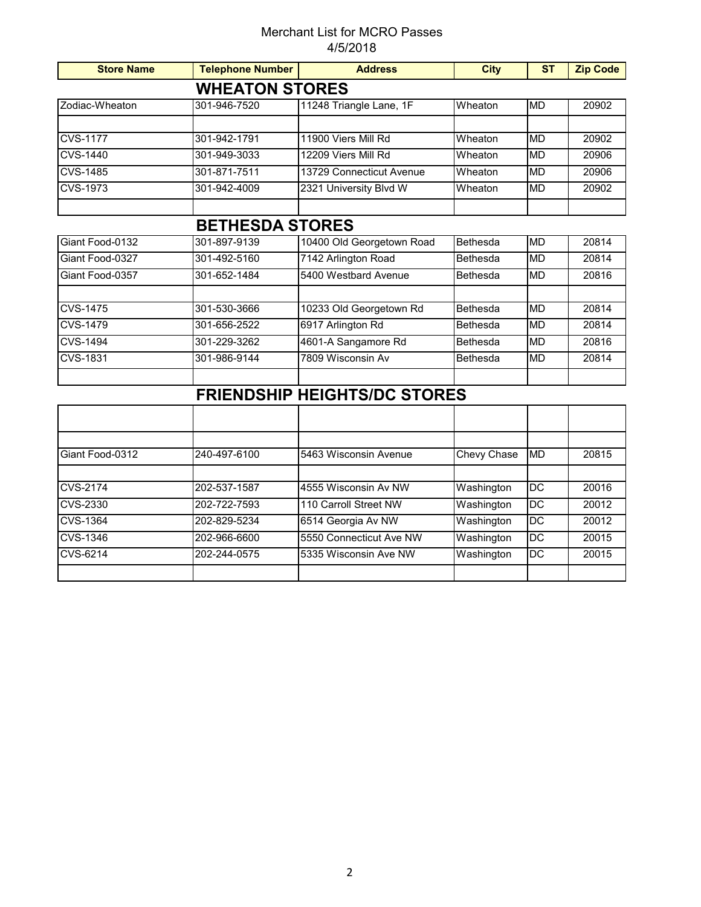## Merchant List for MCRO Passes 4/5/2018

| <b>Store Name</b> | <b>Telephone Number</b> | <b>Address</b>                      | <b>City</b> | <b>ST</b>       | <b>Zip Code</b> |
|-------------------|-------------------------|-------------------------------------|-------------|-----------------|-----------------|
|                   | <b>WHEATON STORES</b>   |                                     |             |                 |                 |
| Zodiac-Wheaton    | 301-946-7520            | 11248 Triangle Lane, 1F             | Wheaton     | <b>MD</b>       | 20902           |
|                   |                         |                                     |             |                 |                 |
| <b>CVS-1177</b>   | 301-942-1791            | 11900 Viers Mill Rd                 | Wheaton     | <b>MD</b>       | 20902           |
| <b>CVS-1440</b>   | 301-949-3033            | 12209 Viers Mill Rd                 | Wheaton     | <b>MD</b>       | 20906           |
| <b>CVS-1485</b>   | 301-871-7511            | 13729 Connecticut Avenue            | Wheaton     | <b>MD</b>       | 20906           |
| <b>CVS-1973</b>   | 301-942-4009            | 2321 University Blvd W              | Wheaton     | <b>MD</b>       | 20902           |
|                   |                         |                                     |             |                 |                 |
|                   | <b>BETHESDA STORES</b>  |                                     |             |                 |                 |
| Giant Food-0132   | 301-897-9139            | 10400 Old Georgetown Road           | Bethesda    | <b>MD</b>       | 20814           |
| Giant Food-0327   | 301-492-5160            | 7142 Arlington Road                 | Bethesda    | <b>MD</b>       | 20814           |
| Giant Food-0357   | 301-652-1484            | 5400 Westbard Avenue                | Bethesda    | <b>MD</b>       | 20816           |
|                   |                         |                                     |             |                 |                 |
| <b>CVS-1475</b>   | 301-530-3666            | 10233 Old Georgetown Rd             | Bethesda    | <b>MD</b>       | 20814           |
| <b>CVS-1479</b>   | 301-656-2522            | 6917 Arlington Rd                   | Bethesda    | <b>MD</b>       | 20814           |
| <b>CVS-1494</b>   | 301-229-3262            | 4601-A Sangamore Rd                 | Bethesda    | <b>MD</b>       | 20816           |
| <b>CVS-1831</b>   | 301-986-9144            | 7809 Wisconsin Av                   | Bethesda    | <b>MD</b>       | 20814           |
|                   |                         |                                     |             |                 |                 |
|                   |                         | <b>FRIENDSHIP HEIGHTS/DC STORES</b> |             |                 |                 |
|                   |                         |                                     |             |                 |                 |
|                   |                         |                                     |             |                 |                 |
| Giant Food-0312   | 240-497-6100            | 5463 Wisconsin Avenue               | Chevy Chase | <b>MD</b>       | 20815           |
|                   |                         |                                     |             |                 |                 |
| <b>CVS-2174</b>   | 202-537-1587            | 4555 Wisconsin Av NW                | Washington  | $\overline{DC}$ | 20016           |
| <b>CVS-2330</b>   | 202-722-7593            | 110 Carroll Street NW               | Washington  | $\overline{DC}$ | 20012           |
| <b>CVS-1364</b>   | 202-829-5234            | 6514 Georgia Av NW                  | Washington  | $\overline{DC}$ | 20012           |
| <b>CVS-1346</b>   | 202-966-6600            | 5550 Connecticut Ave NW             | Washington  | $\overline{DC}$ | 20015           |
| <b>CVS-6214</b>   | 202-244-0575            | 5335 Wisconsin Ave NW               | Washington  | <b>DC</b>       | 20015           |